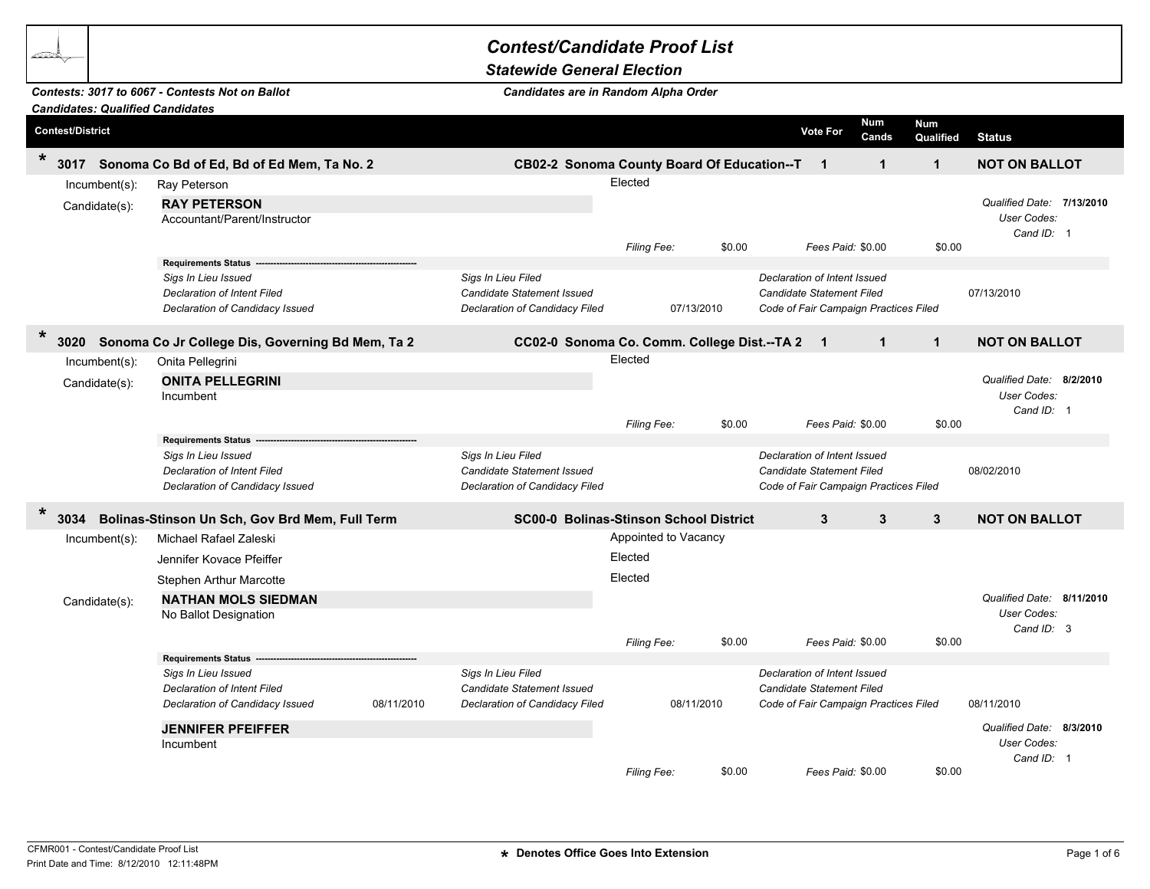## *Contest/Candidate Proof List Candidates: Qualified Candidates Contests: 3017 to 6067 - Contests Not on Ballot Statewide General Election Candidates are in Random Alpha Order* **Contest/District Vote For Num Cands Num fractional Cands Qualified** Status **\*<sup>3017</sup> Sonoma Co Bd of Ed, Bd of Ed Mem, Ta No. 2 CB02-2 Sonoma County Board Of Education--TA 2 1 1 1 NOT ON BALLOT** Incumbent(s): Ray Peterson Elected Candidate(s): *Qualified Date:*  Accountant/Parent/Instructor *User Codes:* **RAY PETERSON 7/13/2010** *Cand ID:* 1 *Filing Fee:* \$0.00 *Fees Paid:* \$0.00 \$0.00  $Requirements *Status*$ *Sigs In Lieu Issued Sigs In Lieu Filed Declaration of Intent Issued Declaration of Intent Filed Candidate Statement Issued Candidate Statement Filed* 07/13/2010 *Declaration of Candidacy Issued Declaration of Candidacy Filed* 07/13/2010 *Code of Fair Campaign Practices Filed* **\*<sup>3020</sup> Sonoma Co Jr College Dis, Governing Bd Mem, Ta 2 CC02-0 Sonoma Co. Comm. College Dist.--TA 2 1 1 1 NOT ON BALLOT** Incumbent(s): Onita Pellegrini elected and the state of the state of the state of the Elected Elected Candidate(s): *Qualified Date:*  Incumbent *User Codes:* **ONITA PELLEGRINI And Southern Contract Contract Contract Contract Contract Contract Contract Contract Contract Contract Contract Contract Contract Contract Contract Contract Contract Contract Contract Contract Contract** *Cand ID:* 1 *Filing Fee:* \$0.00 *Fees Paid:* \$0.00 \$0.00  $Requirements *Status*$ *Sigs In Lieu Issued Sigs In Lieu Filed Declaration of Intent Issued Declaration of Intent Filed Candidate Statement Issued Candidate Statement Filed* 08/02/2010 *Declaration of Candidacy Issued Declaration of Candidacy Filed Code of Fair Campaign Practices Filed* **\*<sup>3034</sup> Bolinas-Stinson Un Sch, Gov Brd Mem, Full Term SC00-0 Bolinas-Stinson School District 3 3 3 NOT ON BALLOT** Incumbent(s): Michael Rafael Zaleski Appointed to Vacancy Appointed to Vacancy Jennifer Kovace Pfeiffer Elected Stephen Arthur Marcotte **Elected Elected** Candidate(s): *Qualified Date:*  **NATHAN MOLS SIEDMAN 8/11/2010** No Ballot Designation *User Codes: Cand ID:* 3 *Filing Fee:* \$0.00 *Fees Paid:* \$0.00 \$0.00  $Requirements *Status*$ *Sigs In Lieu Issued Sigs In Lieu Filed Declaration of Intent Issued Declaration of Intent Filed Candidate Statement Issued Candidate Statement Filed Declaration of Candidacy Issued* 08/11/2010 *Declaration of Candidacy Filed* 08/11/2010 *Code of Fair Campaign Practices Filed* 08/11/2010 *Qualified Date:*  Incumbent *User Codes:* **JENNIFER PFEIFFER** Qualified Date: and the control of the control of the control of the control of the control of the control of the control of the control of the control of the control of the control of the control of th *Cand ID:* 1 *Filing Fee:* \$0.00 *Fees Paid:* \$0.00 \$0.00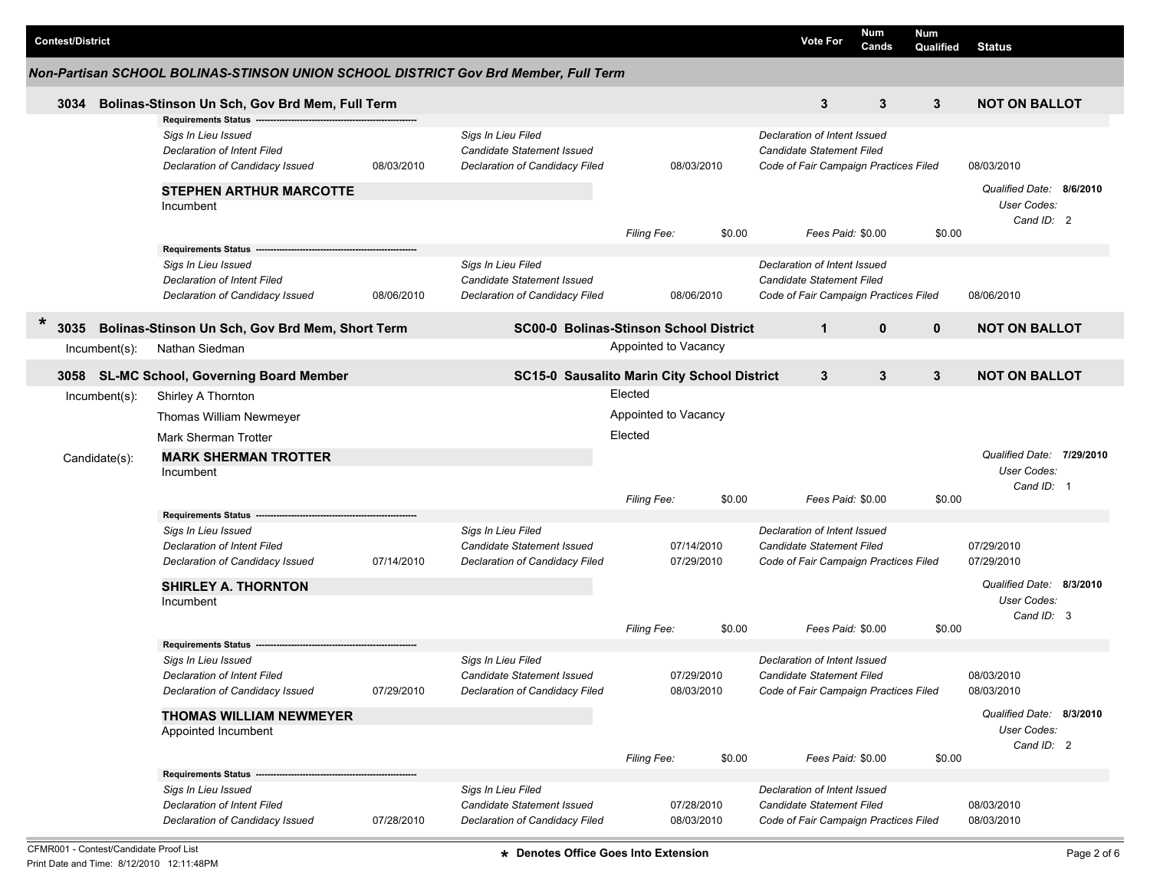| <b>Contest/District</b>                                                             |                  |                                                                                                                     |            |                                                                                           |                      |                          |        | <b>Vote For</b>                                                                                    | <b>Num</b><br>Cands | Num<br>Qualified | <b>Status</b>                                          |  |
|-------------------------------------------------------------------------------------|------------------|---------------------------------------------------------------------------------------------------------------------|------------|-------------------------------------------------------------------------------------------|----------------------|--------------------------|--------|----------------------------------------------------------------------------------------------------|---------------------|------------------|--------------------------------------------------------|--|
| Non-Partisan SCHOOL BOLINAS-STINSON UNION SCHOOL DISTRICT Gov Brd Member, Full Term |                  |                                                                                                                     |            |                                                                                           |                      |                          |        |                                                                                                    |                     |                  |                                                        |  |
| 3034                                                                                |                  | Bolinas-Stinson Un Sch, Gov Brd Mem, Full Term                                                                      |            |                                                                                           |                      |                          |        | 3                                                                                                  | 3                   | 3                | <b>NOT ON BALLOT</b>                                   |  |
|                                                                                     |                  | <b>Requirements Status</b><br>Sigs In Lieu Issued<br>Declaration of Intent Filed<br>Declaration of Candidacy Issued | 08/03/2010 | Sigs In Lieu Filed<br>Candidate Statement Issued<br>Declaration of Candidacy Filed        |                      | 08/03/2010               |        | Declaration of Intent Issued<br>Candidate Statement Filed<br>Code of Fair Campaign Practices Filed |                     |                  | 08/03/2010                                             |  |
|                                                                                     |                  | <b>STEPHEN ARTHUR MARCOTTE</b><br>Incumbent                                                                         |            |                                                                                           |                      |                          |        |                                                                                                    |                     |                  | Qualified Date: 8/6/2010<br>User Codes:<br>Cand ID: 2  |  |
|                                                                                     |                  | <b>Requirements Status</b>                                                                                          |            |                                                                                           | <b>Filing Fee:</b>   |                          | \$0.00 |                                                                                                    | Fees Paid: \$0.00   | \$0.00           |                                                        |  |
|                                                                                     |                  | Sigs In Lieu Issued<br><b>Declaration of Intent Filed</b><br>Declaration of Candidacy Issued                        | 08/06/2010 | Sigs In Lieu Filed<br><b>Candidate Statement Issued</b><br>Declaration of Candidacy Filed |                      | 08/06/2010               |        | Declaration of Intent Issued<br>Candidate Statement Filed<br>Code of Fair Campaign Practices Filed |                     |                  | 08/06/2010                                             |  |
| $\ast$<br>3035                                                                      |                  | Bolinas-Stinson Un Sch, Gov Brd Mem, Short Term                                                                     |            | <b>SC00-0 Bolinas-Stinson School District</b>                                             |                      |                          |        | $\mathbf{1}$                                                                                       | $\mathbf{0}$        | $\mathbf{0}$     | <b>NOT ON BALLOT</b>                                   |  |
|                                                                                     | Incumbent(s):    | Nathan Siedman                                                                                                      |            |                                                                                           | Appointed to Vacancy |                          |        |                                                                                                    |                     |                  |                                                        |  |
|                                                                                     |                  | 3058 SL-MC School, Governing Board Member                                                                           |            | SC15-0 Sausalito Marin City School District                                               |                      |                          |        | 3                                                                                                  | 3                   | 3                | <b>NOT ON BALLOT</b>                                   |  |
|                                                                                     | $Incumbent(s)$ : | Shirley A Thornton                                                                                                  |            |                                                                                           | Elected              |                          |        |                                                                                                    |                     |                  |                                                        |  |
|                                                                                     |                  | Thomas William Newmeyer                                                                                             |            |                                                                                           | Appointed to Vacancy |                          |        |                                                                                                    |                     |                  |                                                        |  |
|                                                                                     |                  | Mark Sherman Trotter                                                                                                |            |                                                                                           | Elected              |                          |        |                                                                                                    |                     |                  |                                                        |  |
|                                                                                     | Candidate(s):    | <b>MARK SHERMAN TROTTER</b><br>Incumbent                                                                            |            |                                                                                           | <b>Filing Fee:</b>   |                          | \$0.00 |                                                                                                    | Fees Paid: \$0.00   | \$0.00           | Qualified Date: 7/29/2010<br>User Codes:<br>Cand ID: 1 |  |
|                                                                                     |                  | Requirements Status ---                                                                                             |            |                                                                                           |                      |                          |        |                                                                                                    |                     |                  |                                                        |  |
|                                                                                     |                  | Sigs In Lieu Issued<br>Declaration of Intent Filed<br>Declaration of Candidacy Issued                               | 07/14/2010 | Sigs In Lieu Filed<br>Candidate Statement Issued<br>Declaration of Candidacy Filed        |                      | 07/14/2010<br>07/29/2010 |        | Declaration of Intent Issued<br>Candidate Statement Filed<br>Code of Fair Campaign Practices Filed |                     |                  | 07/29/2010<br>07/29/2010                               |  |
|                                                                                     |                  | <b>SHIRLEY A. THORNTON</b><br>Incumbent                                                                             |            |                                                                                           |                      |                          |        |                                                                                                    |                     |                  | Qualified Date: 8/3/2010<br>User Codes:<br>Cand ID: 3  |  |
|                                                                                     |                  |                                                                                                                     |            |                                                                                           | <b>Filing Fee:</b>   |                          | \$0.00 |                                                                                                    | Fees Paid: \$0.00   | \$0.00           |                                                        |  |
|                                                                                     |                  | <b>Requirements Status</b><br>Sigs In Lieu Issued<br>Declaration of Intent Filed<br>Declaration of Candidacy Issued | 07/29/2010 | Sigs In Lieu Filed<br>Candidate Statement Issued<br>Declaration of Candidacy Filed        |                      | 07/29/2010<br>08/03/2010 |        | Declaration of Intent Issued<br>Candidate Statement Filed<br>Code of Fair Campaign Practices Filed |                     |                  | 08/03/2010<br>08/03/2010                               |  |
|                                                                                     |                  | <b>THOMAS WILLIAM NEWMEYER</b><br>Appointed Incumbent                                                               |            |                                                                                           | Filing Fee:          |                          | \$0.00 |                                                                                                    | Fees Paid: \$0.00   | \$0.00           | Qualified Date: 8/3/2010<br>User Codes:<br>Cand ID: 2  |  |
|                                                                                     |                  | Requirements Status ----                                                                                            |            |                                                                                           |                      |                          |        |                                                                                                    |                     |                  |                                                        |  |
|                                                                                     |                  | Sigs In Lieu Issued<br><b>Declaration of Intent Filed</b><br>Declaration of Candidacy Issued                        | 07/28/2010 | Sigs In Lieu Filed<br>Candidate Statement Issued<br>Declaration of Candidacy Filed        |                      | 07/28/2010<br>08/03/2010 |        | Declaration of Intent Issued<br>Candidate Statement Filed<br>Code of Fair Campaign Practices Filed |                     |                  | 08/03/2010<br>08/03/2010                               |  |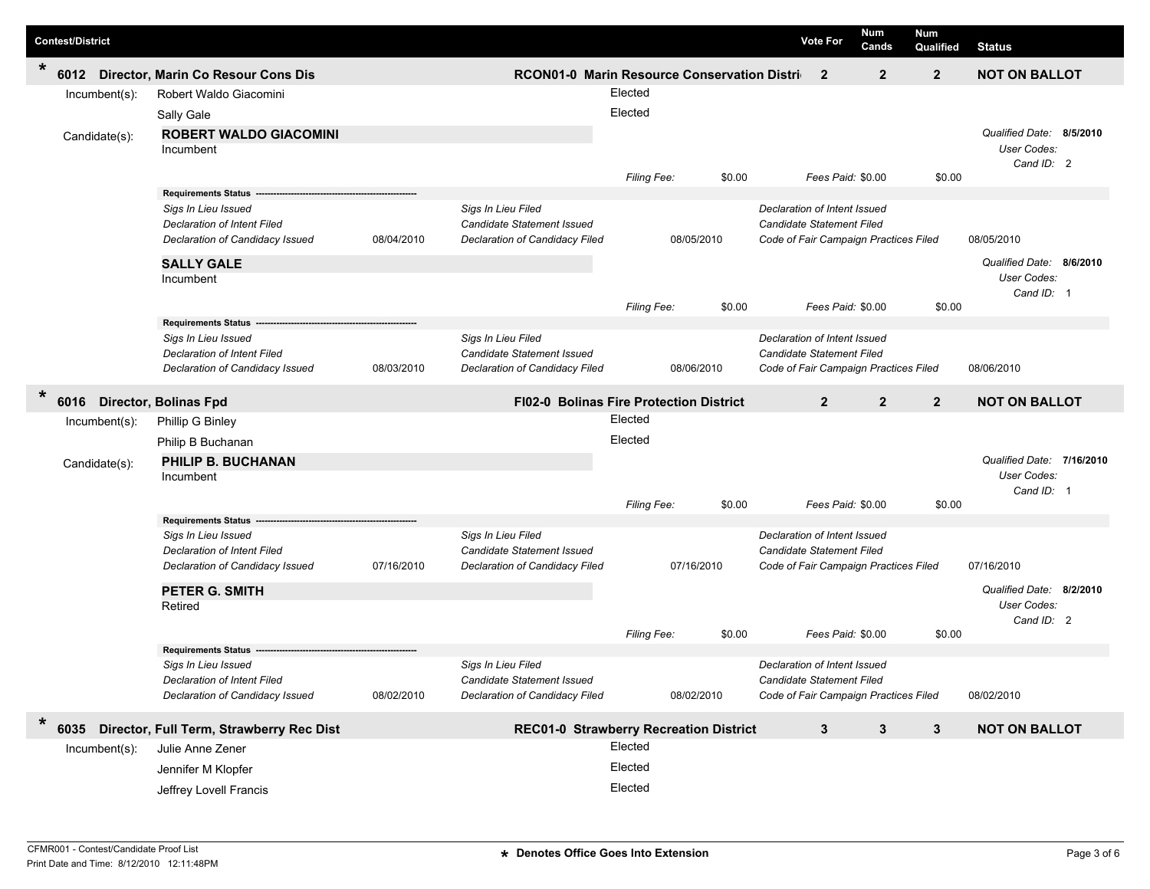| <b>Contest/District</b>              |                                                              |            |                                                |             |        | <b>Vote For</b>                       | Num<br>Cands                          | Num<br>Qualified | <b>Status</b>             |
|--------------------------------------|--------------------------------------------------------------|------------|------------------------------------------------|-------------|--------|---------------------------------------|---------------------------------------|------------------|---------------------------|
| $\star$<br>6012<br>Incumbent(s):     | Director, Marin Co Resour Cons Dis<br>Robert Waldo Giacomini |            | RCON01-0 Marin Resource Conservation Distri    | Elected     |        |                                       | $\overline{2}$<br>$\overline{2}$      | $\overline{2}$   | <b>NOT ON BALLOT</b>      |
|                                      | Sally Gale                                                   |            |                                                | Elected     |        |                                       |                                       |                  |                           |
|                                      | <b>ROBERT WALDO GIACOMINI</b>                                |            |                                                |             |        |                                       |                                       |                  | Qualified Date: 8/5/2010  |
| Candidate(s):                        | Incumbent                                                    |            |                                                |             |        |                                       |                                       |                  | User Codes:               |
|                                      |                                                              |            |                                                | Filing Fee: | \$0.00 |                                       | Fees Paid: \$0.00                     | \$0.00           | Cand ID: 2                |
|                                      | Requirements Status --                                       |            |                                                |             |        |                                       |                                       |                  |                           |
|                                      | Sigs In Lieu Issued                                          |            | Sigs In Lieu Filed                             |             |        |                                       | Declaration of Intent Issued          |                  |                           |
|                                      | <b>Declaration of Intent Filed</b>                           |            | Candidate Statement Issued                     |             |        | Candidate Statement Filed             |                                       |                  |                           |
|                                      | Declaration of Candidacy Issued                              | 08/04/2010 | Declaration of Candidacy Filed                 | 08/05/2010  |        |                                       | Code of Fair Campaign Practices Filed |                  | 08/05/2010                |
|                                      | <b>SALLY GALE</b>                                            |            |                                                |             |        |                                       |                                       |                  | Qualified Date: 8/6/2010  |
|                                      | Incumbent                                                    |            |                                                |             |        |                                       |                                       |                  | User Codes:               |
|                                      |                                                              |            |                                                | Filing Fee: | \$0.00 |                                       | Fees Paid: \$0.00                     | \$0.00           | Cand ID: 1                |
|                                      | <b>Requirements Status</b>                                   |            |                                                |             |        |                                       |                                       |                  |                           |
|                                      | Sigs In Lieu Issued                                          |            | Sigs In Lieu Filed                             |             |        |                                       | Declaration of Intent Issued          |                  |                           |
|                                      | <b>Declaration of Intent Filed</b>                           |            | Candidate Statement Issued                     |             |        | Candidate Statement Filed             |                                       |                  |                           |
|                                      | Declaration of Candidacy Issued                              | 08/03/2010 | Declaration of Candidacy Filed                 | 08/06/2010  |        |                                       | Code of Fair Campaign Practices Filed |                  | 08/06/2010                |
| $\ast$<br>6016 Director, Bolinas Fpd |                                                              |            | <b>FI02-0 Bolinas Fire Protection District</b> |             |        |                                       | $\overline{2}$<br>$\overline{2}$      | $\overline{2}$   | <b>NOT ON BALLOT</b>      |
| $Incumbent(s)$ :                     | Phillip G Binley                                             |            |                                                | Elected     |        |                                       |                                       |                  |                           |
|                                      | Philip B Buchanan                                            |            | Elected                                        |             |        |                                       |                                       |                  |                           |
| Candidate(s):                        | PHILIP B. BUCHANAN                                           |            |                                                |             |        |                                       |                                       |                  | Qualified Date: 7/16/2010 |
|                                      | Incumbent                                                    |            |                                                |             |        |                                       |                                       |                  | User Codes:               |
|                                      |                                                              |            |                                                | Filing Fee: | \$0.00 |                                       | Fees Paid: \$0.00                     | \$0.00           | Cand ID: 1                |
|                                      | <b>Requirements Status</b>                                   |            |                                                |             |        |                                       |                                       |                  |                           |
|                                      | Sigs In Lieu Issued                                          |            | Sigs In Lieu Filed                             |             |        |                                       | Declaration of Intent Issued          |                  |                           |
|                                      | <b>Declaration of Intent Filed</b>                           |            | Candidate Statement Issued                     |             |        | Candidate Statement Filed             |                                       |                  |                           |
|                                      | Declaration of Candidacy Issued                              | 07/16/2010 | Declaration of Candidacy Filed                 | 07/16/2010  |        | Code of Fair Campaign Practices Filed |                                       |                  | 07/16/2010                |
|                                      | <b>PETER G. SMITH</b>                                        |            |                                                |             |        |                                       |                                       |                  | Qualified Date: 8/2/2010  |
|                                      | Retired                                                      |            |                                                |             |        |                                       |                                       |                  | User Codes:               |
|                                      |                                                              |            |                                                | Filing Fee: | \$0.00 |                                       | Fees Paid: \$0.00                     | \$0.00           | Cand ID: 2                |
|                                      | <b>Requirements Status</b>                                   |            |                                                |             |        |                                       |                                       |                  |                           |
|                                      | Sigs In Lieu Issued                                          |            | Sigs In Lieu Filed                             |             |        |                                       | Declaration of Intent Issued          |                  |                           |
|                                      | Declaration of Intent Filed                                  |            | Candidate Statement Issued                     |             |        | Candidate Statement Filed             |                                       |                  |                           |
|                                      | Declaration of Candidacy Issued                              | 08/02/2010 | Declaration of Candidacy Filed                 | 08/02/2010  |        |                                       | Code of Fair Campaign Practices Filed |                  | 08/02/2010                |
| $\ast$<br>6035                       | Director, Full Term, Strawberry Rec Dist                     |            | <b>REC01-0 Strawberry Recreation District</b>  |             |        |                                       | 3<br>3                                | $\mathbf{3}$     | <b>NOT ON BALLOT</b>      |
| $Incumbent(s)$ :                     | Julie Anne Zener                                             |            |                                                | Elected     |        |                                       |                                       |                  |                           |
|                                      | Jennifer M Klopfer                                           |            |                                                | Elected     |        |                                       |                                       |                  |                           |
|                                      | Jeffrey Lovell Francis                                       |            |                                                | Elected     |        |                                       |                                       |                  |                           |
|                                      |                                                              |            |                                                |             |        |                                       |                                       |                  |                           |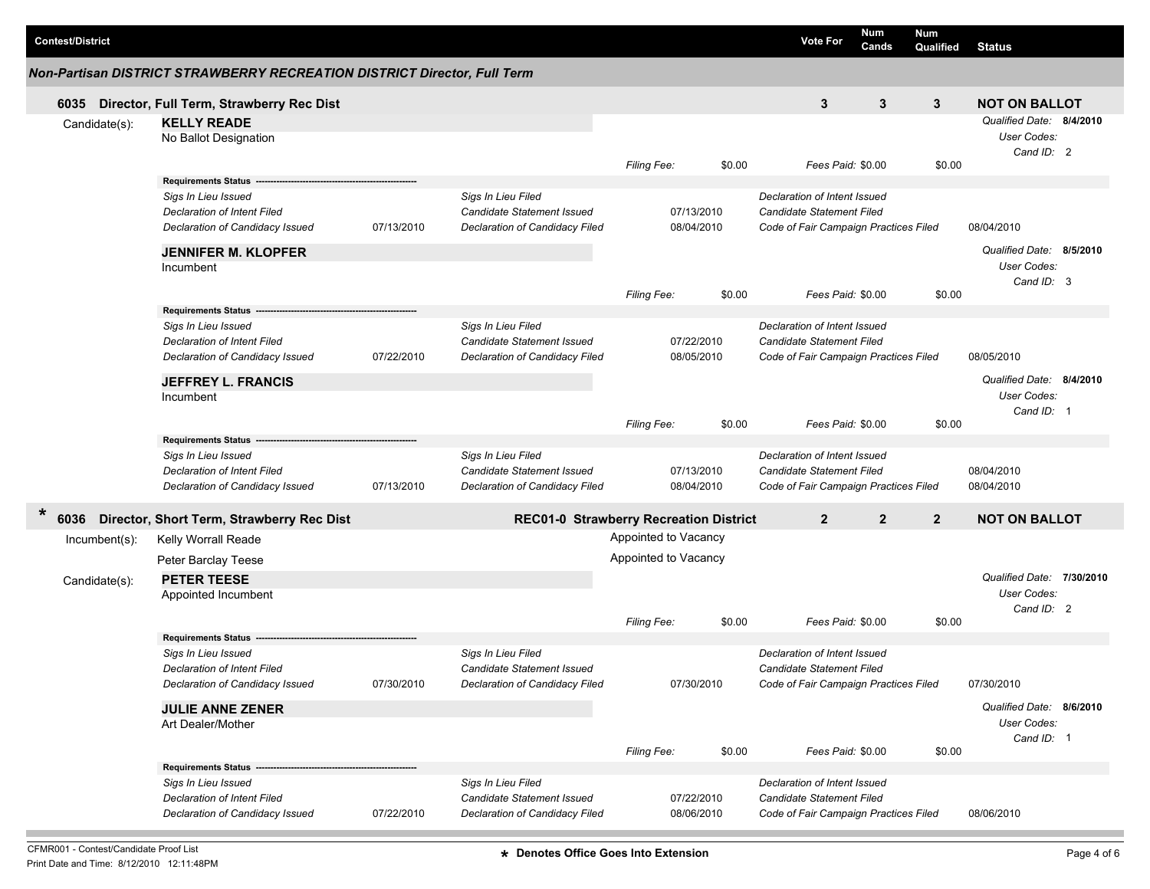| <b>Contest/District</b> |                                                                          |            |                                   |                                        |        | <b>Num</b><br><b>Vote For</b>         | Num<br>Cands<br>Qualified        | <b>Status</b>             |  |
|-------------------------|--------------------------------------------------------------------------|------------|-----------------------------------|----------------------------------------|--------|---------------------------------------|----------------------------------|---------------------------|--|
|                         | Non-Partisan DISTRICT STRAWBERRY RECREATION DISTRICT Director, Full Term |            |                                   |                                        |        |                                       |                                  |                           |  |
| 6035                    | Director, Full Term, Strawberry Rec Dist                                 |            |                                   |                                        |        | 3                                     | 3<br>$\mathbf{3}$                | <b>NOT ON BALLOT</b>      |  |
| Candidate(s):           | <b>KELLY READE</b>                                                       |            |                                   |                                        |        |                                       |                                  | Qualified Date: 8/4/2010  |  |
|                         | No Ballot Designation                                                    |            |                                   |                                        |        |                                       |                                  | User Codes:               |  |
|                         |                                                                          |            |                                   |                                        |        |                                       |                                  | Cand ID: 2                |  |
|                         |                                                                          |            |                                   | Filing Fee:                            | \$0.00 | Fees Paid: \$0.00                     | \$0.00                           |                           |  |
|                         | <b>Requirements Status</b>                                               |            |                                   |                                        |        |                                       |                                  |                           |  |
|                         | Sigs In Lieu Issued                                                      |            | Sigs In Lieu Filed                |                                        |        | Declaration of Intent Issued          |                                  |                           |  |
|                         | <b>Declaration of Intent Filed</b>                                       |            |                                   | 07/13/2010                             |        | Candidate Statement Filed             |                                  |                           |  |
|                         | Declaration of Candidacy Issued                                          | 07/13/2010 | Declaration of Candidacy Filed    | 08/04/2010                             |        | Code of Fair Campaign Practices Filed | 08/04/2010                       |                           |  |
|                         | <b>JENNIFER M. KLOPFER</b>                                               |            |                                   |                                        |        |                                       |                                  | Qualified Date: 8/5/2010  |  |
|                         | Incumbent                                                                |            |                                   |                                        |        |                                       |                                  | User Codes:               |  |
|                         |                                                                          |            |                                   |                                        |        |                                       |                                  | Cand ID: 3                |  |
|                         |                                                                          |            |                                   | <b>Filing Fee:</b>                     | \$0.00 | Fees Paid: \$0.00                     | \$0.00                           |                           |  |
|                         | <b>Requirements Status</b>                                               |            |                                   |                                        |        |                                       |                                  |                           |  |
|                         | Sigs In Lieu Issued                                                      |            | Sigs In Lieu Filed                | 07/22/2010<br>08/05/2010               |        | Declaration of Intent Issued          |                                  |                           |  |
|                         | Declaration of Intent Filed                                              |            | <b>Candidate Statement Issued</b> |                                        |        | Candidate Statement Filed             |                                  |                           |  |
|                         | Declaration of Candidacy Issued                                          | 07/22/2010 | Declaration of Candidacy Filed    |                                        |        | Code of Fair Campaign Practices Filed |                                  | 08/05/2010                |  |
|                         | <b>JEFFREY L. FRANCIS</b>                                                |            |                                   |                                        |        |                                       |                                  | Qualified Date: 8/4/2010  |  |
|                         | Incumbent                                                                |            |                                   |                                        |        |                                       |                                  | User Codes:               |  |
|                         |                                                                          |            |                                   |                                        |        |                                       |                                  | Cand ID: 1                |  |
|                         |                                                                          |            |                                   | <b>Filing Fee:</b>                     | \$0.00 | Fees Paid: \$0.00                     | \$0.00                           |                           |  |
|                         | <b>Requirements Status</b>                                               |            |                                   |                                        |        |                                       |                                  |                           |  |
|                         | Sigs In Lieu Issued                                                      |            | Sigs In Lieu Filed                |                                        |        | Declaration of Intent Issued          |                                  |                           |  |
|                         | <b>Declaration of Intent Filed</b>                                       |            | Candidate Statement Issued        | 07/13/2010                             |        | Candidate Statement Filed             |                                  | 08/04/2010                |  |
|                         | Declaration of Candidacy Issued                                          | 07/13/2010 | Declaration of Candidacy Filed    | 08/04/2010                             |        | Code of Fair Campaign Practices Filed |                                  | 08/04/2010                |  |
| $\ast$                  |                                                                          |            |                                   |                                        |        |                                       |                                  |                           |  |
| 6036                    | Director, Short Term, Strawberry Rec Dist                                |            |                                   | REC01-0 Strawberry Recreation District |        | $\overline{2}$                        | $\overline{2}$<br>$\overline{2}$ | <b>NOT ON BALLOT</b>      |  |
| Incumbent(s):           | Kelly Worrall Reade                                                      |            |                                   | Appointed to Vacancy                   |        |                                       |                                  |                           |  |
|                         | Peter Barclay Teese                                                      |            |                                   | Appointed to Vacancy                   |        |                                       |                                  |                           |  |
| Candidate(s):           | <b>PETER TEESE</b>                                                       |            |                                   |                                        |        |                                       |                                  | Qualified Date: 7/30/2010 |  |
|                         | Appointed Incumbent                                                      |            |                                   |                                        |        |                                       |                                  | User Codes:               |  |
|                         |                                                                          |            |                                   |                                        |        |                                       |                                  | Cand ID: 2                |  |
|                         |                                                                          |            |                                   | <b>Filing Fee:</b>                     | \$0.00 | Fees Paid: \$0.00                     | \$0.00                           |                           |  |
|                         | <b>Requirements Status</b>                                               |            |                                   |                                        |        |                                       |                                  |                           |  |
|                         | Sigs In Lieu Issued                                                      |            | Sigs In Lieu Filed                |                                        |        | Declaration of Intent Issued          |                                  |                           |  |
|                         | Declaration of Intent Filed                                              |            | Candidate Statement Issued        |                                        |        | Candidate Statement Filed             |                                  |                           |  |
|                         | Declaration of Candidacy Issued                                          | 07/30/2010 | Declaration of Candidacy Filed    | 07/30/2010                             |        | Code of Fair Campaign Practices Filed |                                  | 07/30/2010                |  |
|                         | <b>JULIE ANNE ZENER</b>                                                  |            |                                   |                                        |        |                                       |                                  | Qualified Date: 8/6/2010  |  |
|                         | Art Dealer/Mother                                                        |            |                                   |                                        |        |                                       |                                  | User Codes:               |  |
|                         |                                                                          |            |                                   |                                        |        |                                       |                                  | Cand ID: 1                |  |
|                         |                                                                          |            |                                   | Filing Fee:                            | \$0.00 | Fees Paid: \$0.00                     | \$0.00                           |                           |  |
|                         | <b>Requirements Status</b>                                               |            |                                   |                                        |        |                                       |                                  |                           |  |
|                         | Sigs In Lieu Issued                                                      |            | Sigs In Lieu Filed                |                                        |        | Declaration of Intent Issued          |                                  |                           |  |
|                         | Declaration of Intent Filed                                              |            | Candidate Statement Issued        | 07/22/2010                             |        | Candidate Statement Filed             |                                  |                           |  |
|                         | Declaration of Candidacy Issued                                          | 07/22/2010 | Declaration of Candidacy Filed    | 08/06/2010                             |        | Code of Fair Campaign Practices Filed |                                  | 08/06/2010                |  |
|                         |                                                                          |            |                                   |                                        |        |                                       |                                  |                           |  |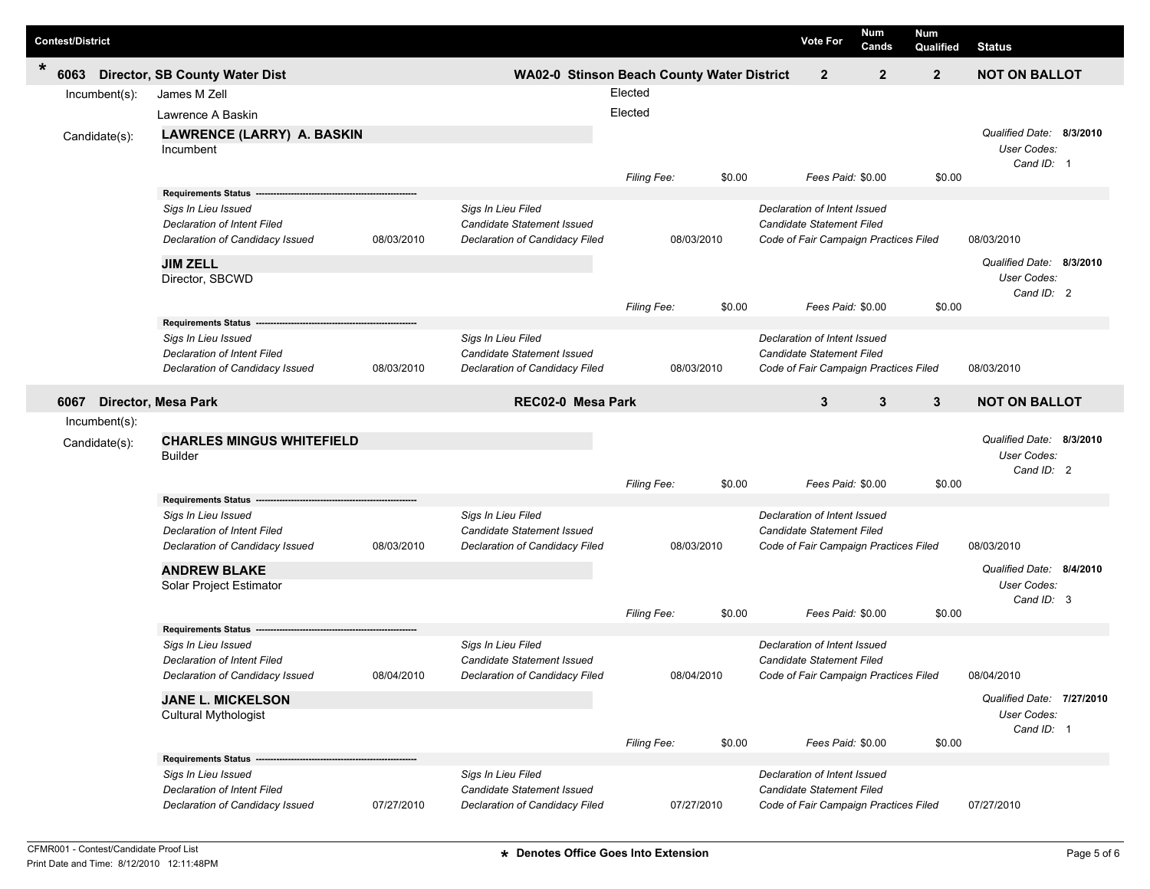| <b>Contest/District</b> |                                                   |            |                                            |                    |        | <b>Vote For</b>                       | Num<br>Cands | <b>Num</b><br>Qualified | <b>Status</b>                           |          |
|-------------------------|---------------------------------------------------|------------|--------------------------------------------|--------------------|--------|---------------------------------------|--------------|-------------------------|-----------------------------------------|----------|
| *<br>6063               | <b>Director, SB County Water Dist</b>             |            | WA02-0 Stinson Beach County Water District |                    |        | $\mathbf{2}$                          | $\mathbf{2}$ | $\overline{2}$          | <b>NOT ON BALLOT</b>                    |          |
| Incumbent(s):           | James M Zell                                      |            |                                            | Elected            |        |                                       |              |                         |                                         |          |
|                         | Lawrence A Baskin                                 |            |                                            | Elected            |        |                                       |              |                         |                                         |          |
| Candidate(s):           | LAWRENCE (LARRY) A. BASKIN                        |            |                                            |                    |        |                                       |              |                         | Qualified Date: 8/3/2010                |          |
|                         | Incumbent                                         |            |                                            |                    |        |                                       |              |                         | User Codes:                             |          |
|                         |                                                   |            |                                            |                    |        |                                       |              |                         | Cand ID: 1                              |          |
|                         |                                                   |            |                                            | <b>Filing Fee:</b> | \$0.00 | Fees Paid: \$0.00                     |              | \$0.00                  |                                         |          |
|                         | <b>Requirements Status</b><br>Sigs In Lieu Issued |            | Sigs In Lieu Filed                         |                    |        | Declaration of Intent Issued          |              |                         |                                         |          |
|                         | <b>Declaration of Intent Filed</b>                |            | Candidate Statement Issued                 |                    |        | <b>Candidate Statement Filed</b>      |              |                         |                                         |          |
|                         | Declaration of Candidacy Issued                   | 08/03/2010 | Declaration of Candidacy Filed             | 08/03/2010         |        | Code of Fair Campaign Practices Filed |              |                         | 08/03/2010                              |          |
|                         |                                                   |            |                                            |                    |        |                                       |              |                         |                                         |          |
|                         | <b>JIM ZELL</b><br>Director, SBCWD                |            |                                            |                    |        |                                       |              |                         | Qualified Date:<br>User Codes:          | 8/3/2010 |
|                         |                                                   |            |                                            |                    |        |                                       |              |                         | Cand ID: 2                              |          |
|                         |                                                   |            |                                            | Filing Fee:        | \$0.00 | Fees Paid: \$0.00                     |              | \$0.00                  |                                         |          |
|                         | <b>Requirements Status</b>                        |            |                                            |                    |        |                                       |              |                         |                                         |          |
|                         | Sigs In Lieu Issued                               |            | Sigs In Lieu Filed                         |                    |        | Declaration of Intent Issued          |              |                         |                                         |          |
|                         | <b>Declaration of Intent Filed</b>                |            | Candidate Statement Issued                 |                    |        | <b>Candidate Statement Filed</b>      |              |                         |                                         |          |
|                         | Declaration of Candidacy Issued                   | 08/03/2010 | Declaration of Candidacy Filed             | 08/03/2010         |        | Code of Fair Campaign Practices Filed |              |                         | 08/03/2010                              |          |
| 6067                    | <b>Director, Mesa Park</b>                        |            | REC02-0 Mesa Park                          |                    |        | 3                                     | 3            | $\mathbf{3}$            | <b>NOT ON BALLOT</b>                    |          |
| Incumbent(s):           |                                                   |            |                                            |                    |        |                                       |              |                         |                                         |          |
| Candidate(s):           | <b>CHARLES MINGUS WHITEFIELD</b>                  |            |                                            |                    |        |                                       |              |                         |                                         |          |
|                         |                                                   |            |                                            |                    |        |                                       |              |                         |                                         |          |
|                         | Builder                                           |            |                                            |                    |        |                                       |              |                         | Qualified Date: 8/3/2010<br>User Codes: |          |
|                         |                                                   |            |                                            |                    |        |                                       |              |                         | Cand ID: 2                              |          |
|                         |                                                   |            |                                            | Filing Fee:        | \$0.00 | Fees Paid: \$0.00                     |              | \$0.00                  |                                         |          |
|                         | Requirements Status --                            |            |                                            |                    |        |                                       |              |                         |                                         |          |
|                         | Sigs In Lieu Issued                               |            | Sigs In Lieu Filed                         |                    |        | Declaration of Intent Issued          |              |                         |                                         |          |
|                         | <b>Declaration of Intent Filed</b>                |            | Candidate Statement Issued                 |                    |        | <b>Candidate Statement Filed</b>      |              |                         |                                         |          |
|                         | Declaration of Candidacy Issued                   | 08/03/2010 | Declaration of Candidacy Filed             | 08/03/2010         |        | Code of Fair Campaign Practices Filed |              |                         | 08/03/2010                              |          |
|                         | <b>ANDREW BLAKE</b>                               |            |                                            |                    |        |                                       |              |                         | Qualified Date: 8/4/2010                |          |
|                         | Solar Project Estimator                           |            |                                            |                    |        |                                       |              |                         | User Codes:                             |          |
|                         |                                                   |            |                                            | Filing Fee:        | \$0.00 | Fees Paid: \$0.00                     |              | \$0.00                  | Cand ID: 3                              |          |
|                         | <b>Requirements Status</b>                        |            |                                            |                    |        |                                       |              |                         |                                         |          |
|                         | Sigs In Lieu Issued                               |            | Sigs In Lieu Filed                         |                    |        | Declaration of Intent Issued          |              |                         |                                         |          |
|                         | Declaration of Intent Filed                       |            | Candidate Statement Issued                 |                    |        | Candidate Statement Filed             |              |                         |                                         |          |
|                         | Declaration of Candidacy Issued                   | 08/04/2010 | Declaration of Candidacy Filed             | 08/04/2010         |        | Code of Fair Campaign Practices Filed |              |                         | 08/04/2010                              |          |
|                         | <b>JANE L. MICKELSON</b>                          |            |                                            |                    |        |                                       |              |                         | Qualified Date: 7/27/2010               |          |
|                         | Cultural Mythologist                              |            |                                            |                    |        |                                       |              |                         | User Codes:                             |          |
|                         |                                                   |            |                                            |                    |        |                                       |              |                         | Cand ID: 1                              |          |
|                         | <b>Requirements Status -</b>                      |            |                                            | Filing Fee:        | \$0.00 | Fees Paid: \$0.00                     |              | \$0.00                  |                                         |          |
|                         | Sigs In Lieu Issued                               |            | Sigs In Lieu Filed                         |                    |        | Declaration of Intent Issued          |              |                         |                                         |          |
|                         | Declaration of Intent Filed                       |            | Candidate Statement Issued                 | 07/27/2010         |        | Candidate Statement Filed             |              |                         |                                         |          |

Г